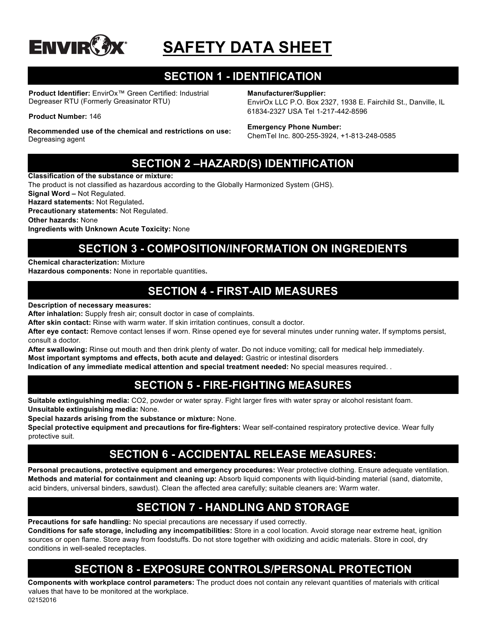

# **SAFETY DATA SHEET**

# **SECTION 1 - IDENTIFICATION**

**Product Identifier:** EnvirOx™ Green Certified: Industrial Degreaser RTU (Formerly Greasinator RTU)

**Product Number:** 146

**Recommended use of the chemical and restrictions on use:**  Degreasing agent

**Manufacturer/Supplier:**

EnvirOx LLC P.O. Box 2327, 1938 E. Fairchild St., Danville, IL 61834-2327 USA Tel 1-217-442-8596

### **Emergency Phone Number:**

ChemTel Inc. 800-255-3924, +1-813-248-0585

### **SECTION 2 –HAZARD(S) IDENTIFICATION**

**Classification of the substance or mixture:**

The product is not classified as hazardous according to the Globally Harmonized System (GHS).

**Signal Word –** Not Regulated.

**Hazard statements:** Not Regulated**. Precautionary statements:** Not Regulated.

**Other hazards:** None

**Ingredients with Unknown Acute Toxicity:** None

# **SECTION 3 - COMPOSITION/INFORMATION ON INGREDIENTS**

**Chemical characterization:** Mixture

**Hazardous components:** None in reportable quantities**.**

### **SECTION 4 - FIRST-AID MEASURES**

### **Description of necessary measures:**

**After inhalation:** Supply fresh air; consult doctor in case of complaints.

**After skin contact:** Rinse with warm water. If skin irritation continues, consult a doctor.

**After eye contact:** Remove contact lenses if worn. Rinse opened eye for several minutes under running water**.** If symptoms persist, consult a doctor.

**After swallowing:** Rinse out mouth and then drink plenty of water. Do not induce vomiting; call for medical help immediately.

**Most important symptoms and effects, both acute and delayed:** Gastric or intestinal disorders

**Indication of any immediate medical attention and special treatment needed:** No special measures required. .

### **SECTION 5 - FIRE-FIGHTING MEASURES**

**Suitable extinguishing media:** CO2, powder or water spray. Fight larger fires with water spray or alcohol resistant foam. **Unsuitable extinguishing media:** None.

**Special hazards arising from the substance or mixture:** None.

**Special protective equipment and precautions for fire-fighters:** Wear self-contained respiratory protective device. Wear fully protective suit.

### **SECTION 6 - ACCIDENTAL RELEASE MEASURES:**

**Personal precautions, protective equipment and emergency procedures:** Wear protective clothing. Ensure adequate ventilation. **Methods and material for containment and cleaning up:** Absorb liquid components with liquid-binding material (sand, diatomite, acid binders, universal binders, sawdust). Clean the affected area carefully; suitable cleaners are: Warm water.

# **SECTION 7 - HANDLING AND STORAGE**

**Precautions for safe handling:** No special precautions are necessary if used correctly.

**Conditions for safe storage, including any incompatibilities:** Store in a cool location. Avoid storage near extreme heat, ignition sources or open flame. Store away from foodstuffs. Do not store together with oxidizing and acidic materials. Store in cool, dry conditions in well-sealed receptacles.

# **SECTION 8 - EXPOSURE CONTROLS/PERSONAL PROTECTION**

02152016 **Components with workplace control parameters:** The product does not contain any relevant quantities of materials with critical values that have to be monitored at the workplace.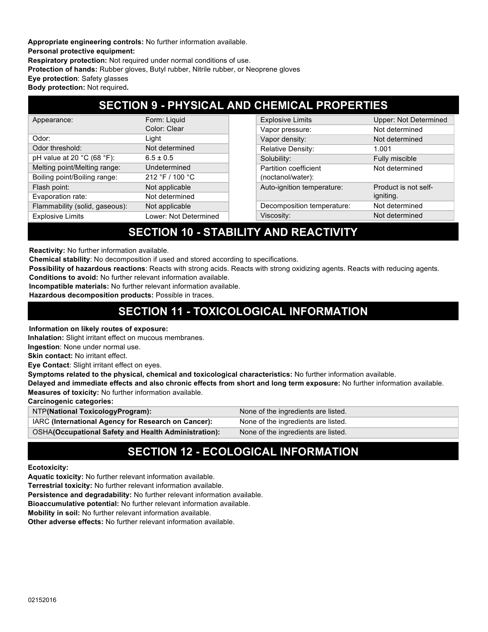**Appropriate engineering controls:** No further information available. **Personal protective equipment: Respiratory protection:** Not required under normal conditions of use. **Protection of hands:** Rubber gloves, Butyl rubber, Nitrile rubber, or Neoprene gloves **Eye protection**: Safety glasses

### **Body protection:** Not required**.**

### **SECTION 9 - PHYSICAL AND CHEMICAL PROPERTIES**

| Appearance:                                    | Form: Liquid          | <b>Explosive Limits</b>    | <b>Upper: Not Determined</b> |
|------------------------------------------------|-----------------------|----------------------------|------------------------------|
|                                                | Color: Clear          | Vapor pressure:            | Not determined               |
| Odor:                                          | Light                 | Vapor density:             | Not determined               |
| Odor threshold:                                | Not determined        | <b>Relative Density:</b>   | 1.001                        |
| pH value at 20 $^{\circ}$ C (68 $^{\circ}$ F): | $6.5 \pm 0.5$         | Solubility:                | Fully miscible               |
| Melting point/Melting range:                   | Undetermined          | Partition coefficient      | Not determined               |
| Boiling point/Boiling range:                   | 212 °F / 100 °C       | (noctanol/water):          |                              |
| Flash point:                                   | Not applicable        | Auto-ignition temperature: | Product is not self-         |
| Evaporation rate:                              | Not determined        |                            | igniting.                    |
| Flammability (solid, gaseous):                 | Not applicable        | Decomposition temperature: | Not determined               |
| <b>Explosive Limits</b>                        | Lower: Not Determined | Viscosity:                 | Not determined               |

### **SECTION 10 - STABILITY AND REACTIVITY**

**Reactivity:** No further information available.

**Chemical stability**: No decomposition if used and stored according to specifications.

**Possibility of hazardous reactions**: Reacts with strong acids. Reacts with strong oxidizing agents. Reacts with reducing agents.

**Conditions to avoid:** No further relevant information available.

**Incompatible materials:** No further relevant information available.

**Hazardous decomposition products:** Possible in traces.

### **SECTION 11 - TOXICOLOGICAL INFORMATION**

#### **Information on likely routes of exposure:**

**Inhalation:** Slight irritant effect on mucous membranes.

**Ingestion**: None under normal use.

**Skin contact:** No irritant effect.

**Eye Contact**: Slight irritant effect on eyes.

**Symptoms related to the physical, chemical and toxicological characteristics:** No further information available.

**Delayed and immediate effects and also chronic effects from short and long term exposure:** No further information available. **Measures of toxicity:** No further information available.

**Carcinogenic categories:**

| NTP(National ToxicologyProgram):                     | None of the ingredients are listed. |
|------------------------------------------------------|-------------------------------------|
| IARC (International Agency for Research on Cancer):  | None of the ingredients are listed. |
| OSHA(Occupational Safety and Health Administration): | None of the ingredients are listed. |

### **SECTION 12 - ECOLOGICAL INFORMATION**

#### **Ecotoxicity:**

**Aquatic toxicity:** No further relevant information available.

**Terrestrial toxicity:** No further relevant information available.

**Persistence and degradability:** No further relevant information available.

**Bioaccumulative potential:** No further relevant information available.

**Mobility in soil:** No further relevant information available.

**Other adverse effects:** No further relevant information available.